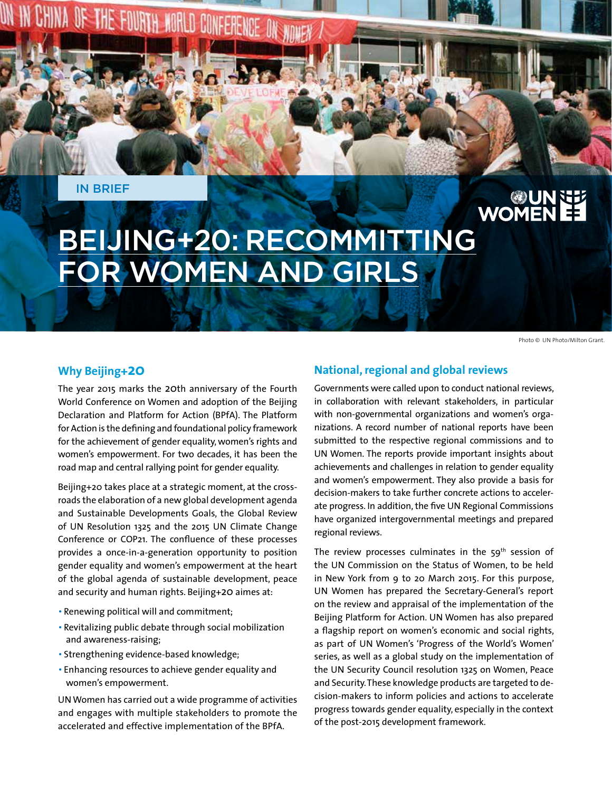IN BRIEF

# BEIJING+20: RECOMMITTING FOR WOMEN AND GIRLS

**MORLD CONFERENCE** 

Photo © UN Photo/Milton Grant.

**ES NUMER**<br>ES NOMEN

### **Why Beijing+20**

The year 2015 marks the 20th anniversary of the Fourth World Conference on Women and adoption of the Beijing Declaration and Platform for Action (BPfA). The Platform for Action is the defining and foundational policy framework for the achievement of gender equality, women's rights and women's empowerment. For two decades, it has been the road map and central rallying point for gender equality.

Beijing+20 takes place at a strategic moment, at the crossroads the elaboration of a new global development agenda and Sustainable Developments Goals, the Global Review of UN Resolution 1325 and the 2015 UN Climate Change Conference or COP21. The confluence of these processes provides a once-in-a-generation opportunity to position gender equality and women's empowerment at the heart of the global agenda of sustainable development, peace and security and human rights. Beijing+20 aimes at:

- •Renewing political will and commitment;
- •Revitalizing public debate through social mobilization and awareness-raising;
- Strengthening evidence-based knowledge;
- Enhancing resources to achieve gender equality and women's empowerment.

UN Women has carried out a wide programme of activities and engages with multiple stakeholders to promote the accelerated and effective implementation of the BPfA.

#### **National, regional and global reviews**

Governments were called upon to conduct national reviews, in collaboration with relevant stakeholders, in particular with non-governmental organizations and women's organizations. A record number of national reports have been submitted to the respective regional commissions and to UN Women. The reports provide important insights about achievements and challenges in relation to gender equality and women's empowerment. They also provide a basis for decision-makers to take further concrete actions to accelerate progress. In addition, the five UN Regional Commissions have organized intergovernmental meetings and prepared regional reviews.

The review processes culminates in the  $59<sup>th</sup>$  session of the UN Commission on the Status of Women, to be held in New York from 9 to 20 March 2015. For this purpose, UN Women has prepared the Secretary-General's report on the review and appraisal of the implementation of the Beijing Platform for Action. UN Women has also prepared a flagship report on women's economic and social rights, as part of UN Women's 'Progress of the World's Women' series, as well as a global study on the implementation of the UN Security Council resolution 1325 on Women, Peace and Security. These knowledge products are targeted to decision-makers to inform policies and actions to accelerate progress towards gender equality, especially in the context of the post-2015 development framework.